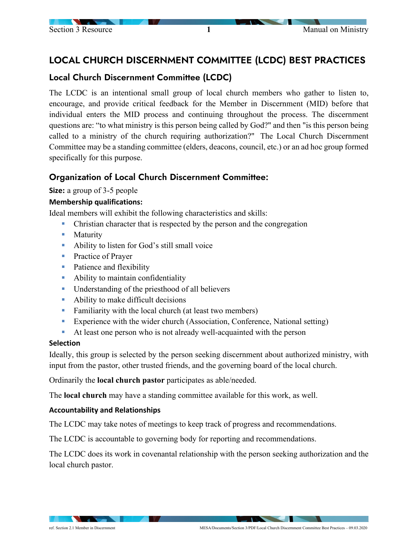# LOCAL CHURCH DISCERNMENT COMMITTEE (LCDC) BEST PRACTICES

# Local Church Discernment Committee (LCDC)

The LCDC is an intentional small group of local church members who gather to listen to, encourage, and provide critical feedback for the Member in Discernment (MID) before that individual enters the MID process and continuing throughout the process. The discernment questions are: "to what ministry is this person being called by God?" and then "is this person being called to a ministry of the church requiring authorization?" The Local Church Discernment Committee may be a standing committee (elders, deacons, council, etc.) or an ad hoc group formed specifically for this purpose.

# Organization of Local Church Discernment Committee:

**Size:** a group of 3-5 people

## **Membership qualifications:**

Ideal members will exhibit the following characteristics and skills:

- Christian character that is respected by the person and the congregation
- **Maturity**
- Ability to listen for God's still small voice
- **Practice of Prayer**
- Patience and flexibility
- Ability to maintain confidentiality
- Understanding of the priesthood of all believers
- Ability to make difficult decisions
- Familiarity with the local church (at least two members)
- Experience with the wider church (Association, Conference, National setting)
- At least one person who is not already well-acquainted with the person

## **Selection**

Ideally, this group is selected by the person seeking discernment about authorized ministry, with input from the pastor, other trusted friends, and the governing board of the local church.

Ordinarily the **local church pastor** participates as able/needed.

The **local church** may have a standing committee available for this work, as well.

## **Accountability and Relationships**

The LCDC may take notes of meetings to keep track of progress and recommendations.

The LCDC is accountable to governing body for reporting and recommendations.

The LCDC does its work in covenantal relationship with the person seeking authorization and the local church pastor.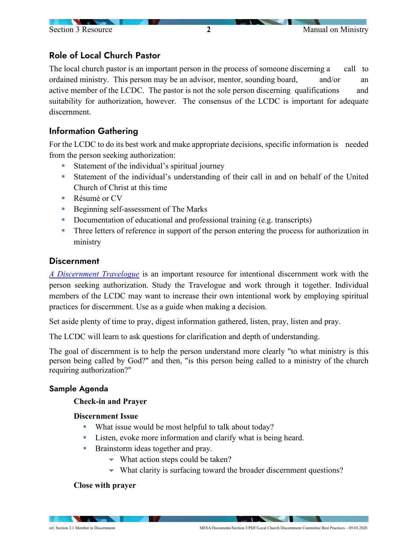# Role of Local Church Pastor

The local church pastor is an important person in the process of someone discerning a call to ordained ministry. This person may be an advisor, mentor, sounding board, and/or an active member of the LCDC. The pastor is not the sole person discerning qualifications and suitability for authorization, however. The consensus of the LCDC is important for adequate discernment.

# Information Gathering

For the LCDC to do its best work and make appropriate decisions, specific information is needed from the person seeking authorization:

- **Statement of the individual's spiritual journey**
- Statement of the individual's understanding of their call in and on behalf of the United Church of Christ at this time
- Résumé or CV
- Beginning self-assessment of The Marks
- **•** Documentation of educational and professional training (e.g. transcripts)
- **Three letters of reference in support of the person entering the process for authorization in** ministry

## **Discernment**

*[A Discernment Travelogue](https://www.uccresources.com/products/a-discernment-travelogue?variant=17675334660)* is an important resource for intentional discernment work with the person seeking authorization. Study the Travelogue and work through it together. Individual members of the LCDC may want to increase their own intentional work by employing spiritual practices for discernment. Use as a guide when making a decision.

Set aside plenty of time to pray, digest information gathered, listen, pray, listen and pray.

The LCDC will learn to ask questions for clarification and depth of understanding.

The goal of discernment is to help the person understand more clearly "to what ministry is this person being called by God?" and then, "is this person being called to a ministry of the church requiring authorization?"

#### Sample Agenda

#### **Check-in and Prayer**

#### **Discernment Issue**

- What issue would be most helpful to talk about today?
- Listen, evoke more information and clarify what is being heard.
- **Brainstorm ideas together and pray.** 
	- $\blacktriangleright$  What action steps could be taken?
	- What clarity is surfacing toward the broader discernment questions?

#### **Close with prayer**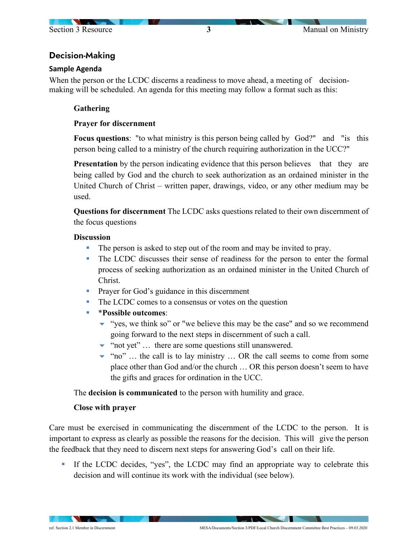

# Decision-Making

### **Sample Agenda**

When the person or the LCDC discerns a readiness to move ahead, a meeting of decisionmaking will be scheduled. An agenda for this meeting may follow a format such as this:

### **Gathering**

### **Prayer for discernment**

**Focus questions**: "to what ministry is this person being called by God?" and "is this person being called to a ministry of the church requiring authorization in the UCC?"

**Presentation** by the person indicating evidence that this person believes that they are being called by God and the church to seek authorization as an ordained minister in the United Church of Christ – written paper, drawings, video, or any other medium may be used.

**Questions for discernment** The LCDC asks questions related to their own discernment of the focus questions

#### **Discussion**

- The person is asked to step out of the room and may be invited to pray.
- The LCDC discusses their sense of readiness for the person to enter the formal process of seeking authorization as an ordained minister in the United Church of Christ.
- **Prayer for God's guidance in this discernment**
- The LCDC comes to a consensus or votes on the question
- \***Possible outcomes**:
	- $\bullet$  "yes, we think so" or "we believe this may be the case" and so we recommend going forward to the next steps in discernment of such a call.
	- $\blacktriangleright$  "not yet" ... there are some questions still unanswered.
	- $\blacktriangleright$  "no" ... the call is to lay ministry ... OR the call seems to come from some place other than God and/or the church … OR this person doesn't seem to have the gifts and graces for ordination in the UCC.

The **decision is communicated** to the person with humility and grace.

## **Close with prayer**

Care must be exercised in communicating the discernment of the LCDC to the person. It is important to express as clearly as possible the reasons for the decision. This will give the person the feedback that they need to discern next steps for answering God's call on their life.

If the LCDC decides, "yes", the LCDC may find an appropriate way to celebrate this decision and will continue its work with the individual (see below).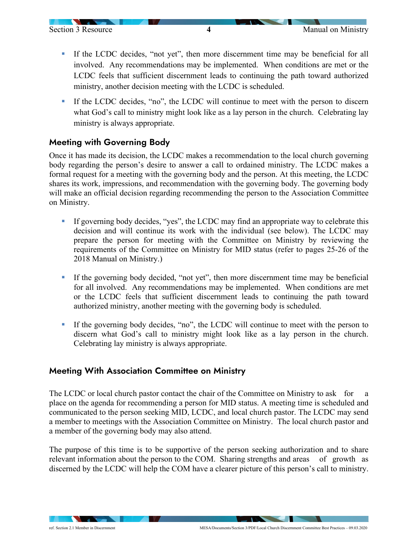- If the LCDC decides, "not yet", then more discernment time may be beneficial for all involved. Any recommendations may be implemented. When conditions are met or the LCDC feels that sufficient discernment leads to continuing the path toward authorized ministry, another decision meeting with the LCDC is scheduled.
- If the LCDC decides, "no", the LCDC will continue to meet with the person to discern what God's call to ministry might look like as a lay person in the church. Celebrating lay ministry is always appropriate.

# Meeting with Governing Body

Once it has made its decision, the LCDC makes a recommendation to the local church governing body regarding the person's desire to answer a call to ordained ministry. The LCDC makes a formal request for a meeting with the governing body and the person. At this meeting, the LCDC shares its work, impressions, and recommendation with the governing body. The governing body will make an official decision regarding recommending the person to the Association Committee on Ministry.

- If governing body decides, "yes", the LCDC may find an appropriate way to celebrate this decision and will continue its work with the individual (see below). The LCDC may prepare the person for meeting with the Committee on Ministry by reviewing the requirements of the Committee on Ministry for MID status (refer to pages 25-26 of the 2018 Manual on Ministry.)
- If the governing body decided, "not yet", then more discernment time may be beneficial for all involved. Any recommendations may be implemented. When conditions are met or the LCDC feels that sufficient discernment leads to continuing the path toward authorized ministry, another meeting with the governing body is scheduled.
- If the governing body decides, "no", the LCDC will continue to meet with the person to discern what God's call to ministry might look like as a lay person in the church. Celebrating lay ministry is always appropriate.

# Meeting With Association Committee on Ministry

The LCDC or local church pastor contact the chair of the Committee on Ministry to ask for a place on the agenda for recommending a person for MID status. A meeting time is scheduled and communicated to the person seeking MID, LCDC, and local church pastor. The LCDC may send a member to meetings with the Association Committee on Ministry. The local church pastor and a member of the governing body may also attend.

The purpose of this time is to be supportive of the person seeking authorization and to share relevant information about the person to the COM. Sharing strengths and areas of growth as discerned by the LCDC will help the COM have a clearer picture of this person's call to ministry.